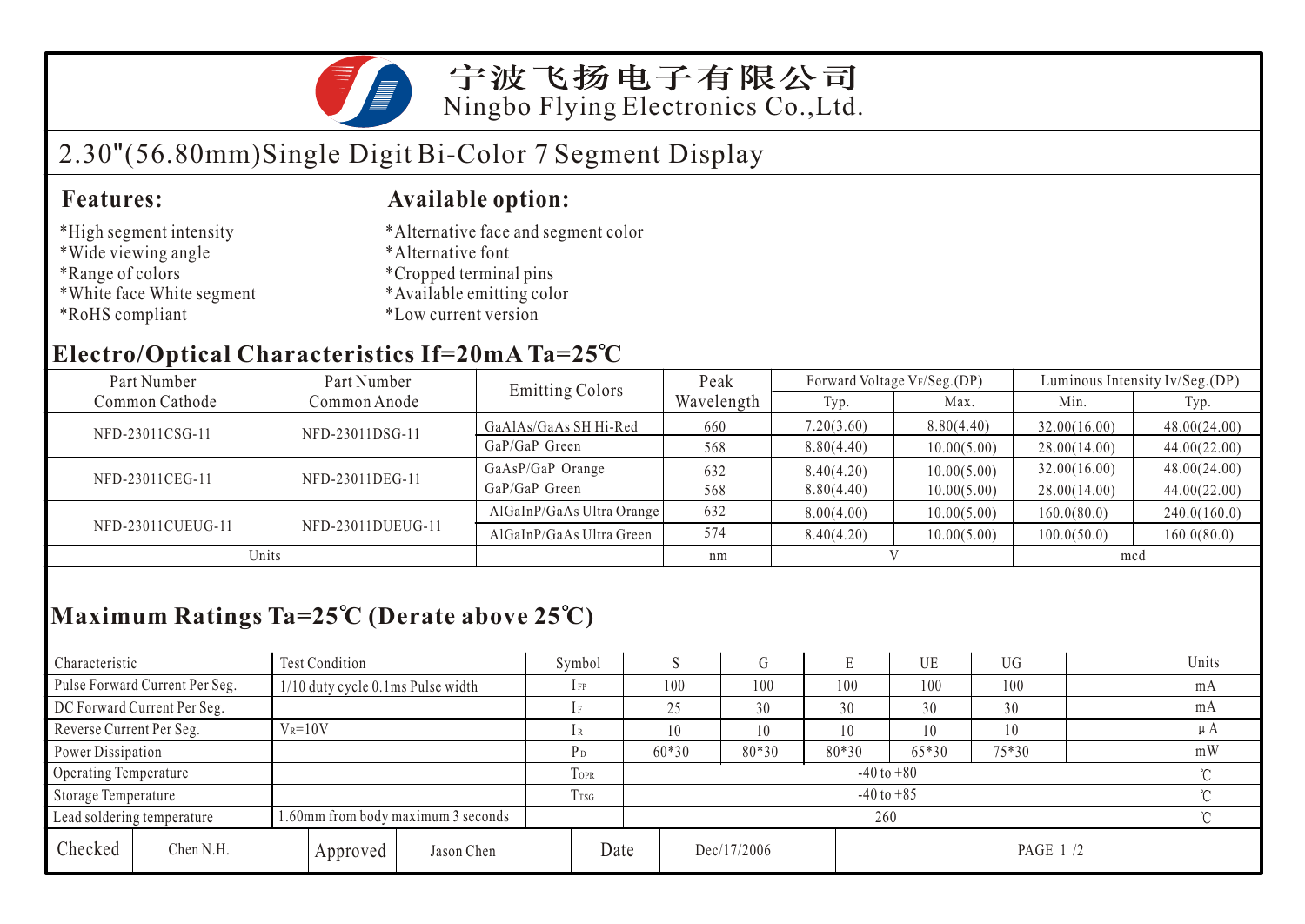

# 2.30"(56.80mm)Single Digit Bi-Color 7 Segment Display

#### **Features: Available option:**

- \*High segment intensity
- \*Wide viewing angle
- \*Range of colors
- \*White face White segment
- \*RoHS compliant
- \*Alternative face and segment color
- \*Alternative font
- \*Cropped terminal pins
- \*Available emitting color
- \*Low current version

### **Electro/Optical Characteristics If=20mA Ta=25 C**

| Part Number       | Part Number       | <b>Emitting Colors</b>    | Peak       | Forward Voltage VF/Seg.(DP) |             | Luminous Intensity Iv/Seg.(DP) |              |  |
|-------------------|-------------------|---------------------------|------------|-----------------------------|-------------|--------------------------------|--------------|--|
| Common Cathode    | Common Anode      |                           | Wavelength | Typ.                        | Max.        | Min.                           | Typ.         |  |
| NFD-23011CSG-11   | NFD-23011DSG-11   | GaAlAs/GaAs SH Hi-Red     | 660        | 7.20(3.60)                  | 8.80(4.40)  | 32.00(16.00)                   | 48.00(24.00) |  |
|                   |                   | GaP/GaP Green             | 568        | 8.80(4.40)                  | 10.00(5.00) | 28.00(14.00)                   | 44.00(22.00) |  |
| NFD-23011CEG-11   | NFD-23011DEG-11   | GaAsP/GaP Orange          | 632        | 8.40(4.20)                  | 10.00(5.00) | 32.00(16.00)                   | 48.00(24.00) |  |
|                   |                   | GaP/GaP Green             | 568        | 8.80(4.40)                  | 10.00(5.00) | 28.00(14.00)                   | 44.00(22.00) |  |
| NFD-23011CUEUG-11 |                   | AlGaInP/GaAs Ultra Orange | 632        | 8.00(4.00)                  | 10.00(5.00) | 160.0(80.0)                    | 240.0(160.0) |  |
|                   | NFD-23011DUEUG-11 | AlGaInP/GaAs Ultra Green  | 574        | 8.40(4.20)                  | 10.00(5.00) | 100.0(50.0)                    | 160.0(80.0)  |  |
| Units             |                   |                           | nm         |                             |             | mcd                            |              |  |

## **Maximum Ratings Ta=25 C (Derate above 25 C)**

| Characteristic                                                   |                                | Test Condition                    |                |                | Symbol                   |     |             |         |        | UE       | <b>UG</b> |    | Units |  |
|------------------------------------------------------------------|--------------------------------|-----------------------------------|----------------|----------------|--------------------------|-----|-------------|---------|--------|----------|-----------|----|-------|--|
|                                                                  | Pulse Forward Current Per Seg. | 1/10 duty cycle 0.1ms Pulse width |                |                | $1$ FP                   | 100 |             | 100     | 100    | 100      | 100       |    | mA    |  |
| DC Forward Current Per Seg.                                      |                                |                                   |                | 25             |                          | 30  | 30          | 30      | 30     |          | mA        |    |       |  |
| Reverse Current Per Seg.                                         |                                | $V_R = 10V$                       |                |                | 1 R                      |     |             | 10      | 10     | 10       | 10        |    | μA    |  |
| Power Dissipation                                                |                                |                                   |                | P <sub>D</sub> | $60*30$                  |     | 80*30       | $80*30$ | 65*30  | 75*30    |           | mW |       |  |
|                                                                  | Operating Temperature          |                                   |                | <b>TOPR</b>    | $-40$ to $+80$<br>$\sim$ |     |             |         |        |          |           |    |       |  |
| Storage Temperature                                              |                                | T <sub>TSG</sub>                  | $-40$ to $+85$ |                |                          |     |             |         | $\sim$ |          |           |    |       |  |
| 1.60mm from body maximum 3 seconds<br>Lead soldering temperature |                                |                                   |                | 260            |                          |     |             |         |        |          |           |    |       |  |
| Checked                                                          | Chen N.H.                      |                                   | Approved       | Jason Chen     | Date                     |     | Dec/17/2006 |         |        | PAGE 1/2 |           |    |       |  |